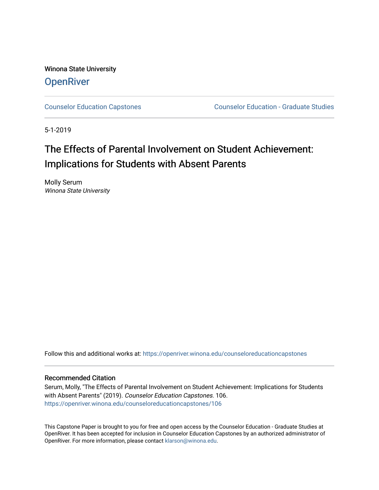Winona State University **OpenRiver** 

[Counselor Education Capstones](https://openriver.winona.edu/counseloreducationcapstones) [Counselor Education - Graduate Studies](https://openriver.winona.edu/counseloreducation) 

5-1-2019

# The Effects of Parental Involvement on Student Achievement: Implications for Students with Absent Parents

Molly Serum Winona State University

Follow this and additional works at: [https://openriver.winona.edu/counseloreducationcapstones](https://openriver.winona.edu/counseloreducationcapstones?utm_source=openriver.winona.edu%2Fcounseloreducationcapstones%2F106&utm_medium=PDF&utm_campaign=PDFCoverPages)

#### Recommended Citation

Serum, Molly, "The Effects of Parental Involvement on Student Achievement: Implications for Students with Absent Parents" (2019). Counselor Education Capstones. 106. [https://openriver.winona.edu/counseloreducationcapstones/106](https://openriver.winona.edu/counseloreducationcapstones/106?utm_source=openriver.winona.edu%2Fcounseloreducationcapstones%2F106&utm_medium=PDF&utm_campaign=PDFCoverPages)

This Capstone Paper is brought to you for free and open access by the Counselor Education - Graduate Studies at OpenRiver. It has been accepted for inclusion in Counselor Education Capstones by an authorized administrator of OpenRiver. For more information, please contact [klarson@winona.edu](mailto:klarson@winona.edu).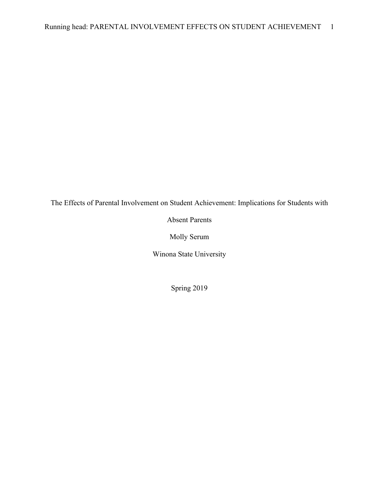The Effects of Parental Involvement on Student Achievement: Implications for Students with

Absent Parents

Molly Serum

Winona State University

Spring 2019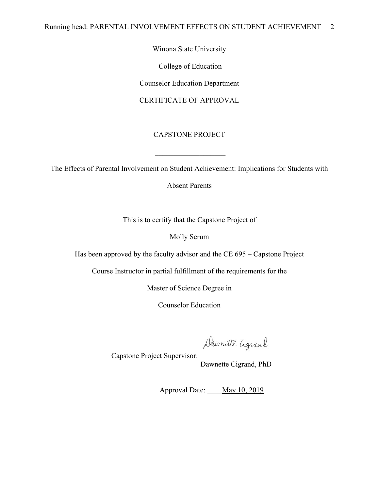Winona State University

College of Education

Counselor Education Department

CERTIFICATE OF APPROVAL

### CAPSTONE PROJECT

The Effects of Parental Involvement on Student Achievement: Implications for Students with

Absent Parents

This is to certify that the Capstone Project of

Molly Serum

Has been approved by the faculty advisor and the CE 695 – Capstone Project

Course Instructor in partial fulfillment of the requirements for the

Master of Science Degree in

Counselor Education

Dawnette Cigrand, PhD

Capstone Project Supervisor:

Approval Date: May 10, 2019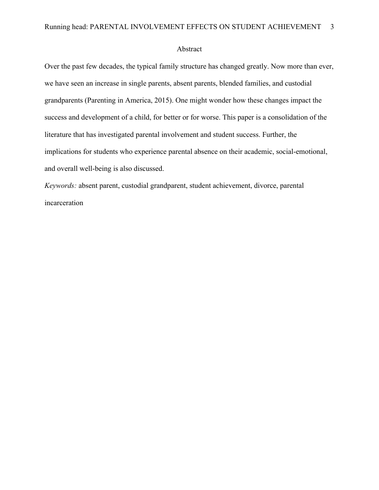#### Abstract

Over the past few decades, the typical family structure has changed greatly. Now more than ever, we have seen an increase in single parents, absent parents, blended families, and custodial grandparents (Parenting in America, 2015). One might wonder how these changes impact the success and development of a child, for better or for worse. This paper is a consolidation of the literature that has investigated parental involvement and student success. Further, the implications for students who experience parental absence on their academic, social-emotional, and overall well-being is also discussed.

*Keywords:* absent parent, custodial grandparent, student achievement, divorce, parental incarceration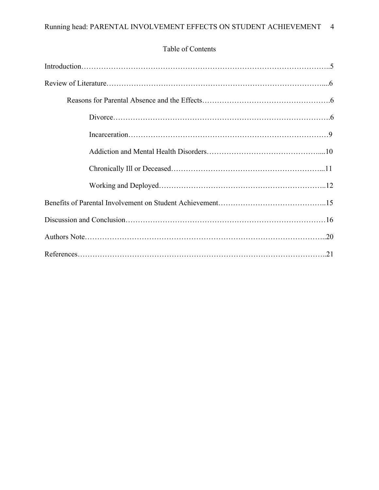## Table of Contents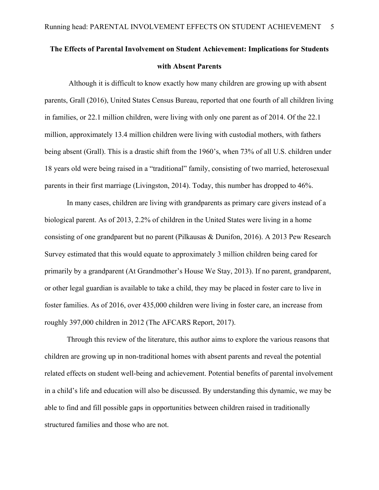## **The Effects of Parental Involvement on Student Achievement: Implications for Students with Absent Parents**

Although it is difficult to know exactly how many children are growing up with absent parents, Grall (2016), United States Census Bureau, reported that one fourth of all children living in families, or 22.1 million children, were living with only one parent as of 2014. Of the 22.1 million, approximately 13.4 million children were living with custodial mothers, with fathers being absent (Grall). This is a drastic shift from the 1960's, when 73% of all U.S. children under 18 years old were being raised in a "traditional" family, consisting of two married, heterosexual parents in their first marriage (Livingston, 2014). Today, this number has dropped to 46%.

In many cases, children are living with grandparents as primary care givers instead of a biological parent. As of 2013, 2.2% of children in the United States were living in a home consisting of one grandparent but no parent (Pilkausas & Dunifon, 2016). A 2013 Pew Research Survey estimated that this would equate to approximately 3 million children being cared for primarily by a grandparent (At Grandmother's House We Stay, 2013). If no parent, grandparent, or other legal guardian is available to take a child, they may be placed in foster care to live in foster families. As of 2016, over 435,000 children were living in foster care, an increase from roughly 397,000 children in 2012 (The AFCARS Report, 2017).

Through this review of the literature, this author aims to explore the various reasons that children are growing up in non-traditional homes with absent parents and reveal the potential related effects on student well-being and achievement. Potential benefits of parental involvement in a child's life and education will also be discussed. By understanding this dynamic, we may be able to find and fill possible gaps in opportunities between children raised in traditionally structured families and those who are not.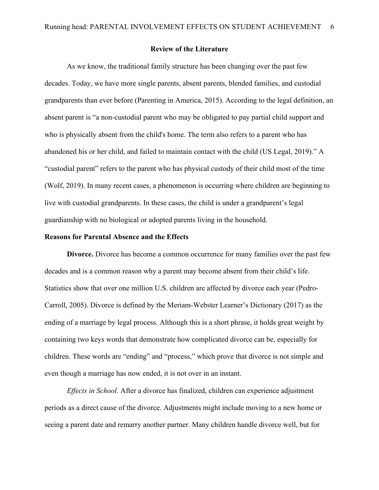#### **Review of the Literature**

As we know, the traditional family structure has been changing over the past few decades. Today, we have more single parents, absent parents, blended families, and custodial grandparents than ever before (Parenting in America, 2015). According to the legal definition, an absent parent is "a non-custodial parent who may be obligated to pay partial child support and who is physically absent from the child's home. The term also refers to a parent who has abandoned his or her child, and failed to maintain contact with the child (US Legal, 2019)." A "custodial parent" refers to the parent who has physical custody of their child most of the time (Wolf, 2019). In many recent cases, a phenomenon is occurring where children are beginning to live with custodial grandparents. In these cases, the child is under a grandparent's legal guardianship with no biological or adopted parents living in the household.

#### **Reasons for Parental Absence and the Effects**

**Divorce.** Divorce has become a common occurrence for many families over the past few decades and is a common reason why a parent may become absent from their child's life. Statistics show that over one million U.S. children are affected by divorce each year (Pedro-Carroll, 2005). Divorce is defined by the Meriam-Webster Learner's Dictionary (2017) as the ending of a marriage by legal process. Although this is a short phrase, it holds great weight by containing two keys words that demonstrate how complicated divorce can be, especially for children. These words are "ending" and "process," which prove that divorce is not simple and even though a marriage has now ended, it is not over in an instant.

*Effects in School.* After a divorce has finalized, children can experience adjustment periods as a direct cause of the divorce. Adjustments might include moving to a new home or seeing a parent date and remarry another partner. Many children handle divorce well, but for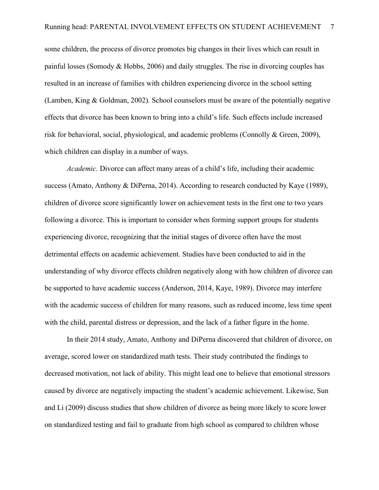some children, the process of divorce promotes big changes in their lives which can result in painful losses (Somody & Hobbs, 2006) and daily struggles. The rise in divorcing couples has resulted in an increase of families with children experiencing divorce in the school setting (Lamben, King & Goldman, 2002). School counselors must be aware of the potentially negative effects that divorce has been known to bring into a child's life. Such effects include increased risk for behavioral, social, physiological, and academic problems (Connolly & Green, 2009), which children can display in a number of ways.

*Academic.* Divorce can affect many areas of a child's life, including their academic success (Amato, Anthony & DiPerna, 2014). According to research conducted by Kaye (1989), children of divorce score significantly lower on achievement tests in the first one to two years following a divorce. This is important to consider when forming support groups for students experiencing divorce, recognizing that the initial stages of divorce often have the most detrimental effects on academic achievement. Studies have been conducted to aid in the understanding of why divorce effects children negatively along with how children of divorce can be supported to have academic success (Anderson, 2014, Kaye, 1989). Divorce may interfere with the academic success of children for many reasons, such as reduced income, less time spent with the child, parental distress or depression, and the lack of a father figure in the home.

In their 2014 study, Amato, Anthony and DiPerna discovered that children of divorce, on average, scored lower on standardized math tests. Their study contributed the findings to decreased motivation, not lack of ability. This might lead one to believe that emotional stressors caused by divorce are negatively impacting the student's academic achievement. Likewise, Sun and Li (2009) discuss studies that show children of divorce as being more likely to score lower on standardized testing and fail to graduate from high school as compared to children whose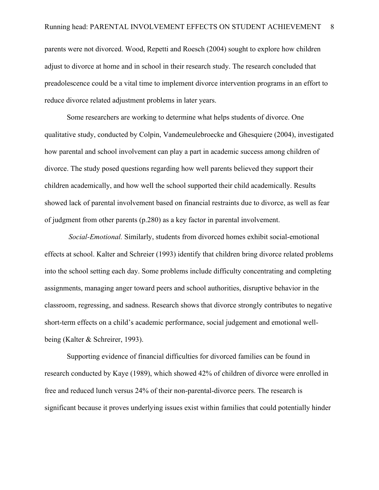parents were not divorced. Wood, Repetti and Roesch (2004) sought to explore how children adjust to divorce at home and in school in their research study. The research concluded that preadolescence could be a vital time to implement divorce intervention programs in an effort to reduce divorce related adjustment problems in later years.

Some researchers are working to determine what helps students of divorce. One qualitative study, conducted by Colpin, Vandemeulebroecke and Ghesquiere (2004), investigated how parental and school involvement can play a part in academic success among children of divorce. The study posed questions regarding how well parents believed they support their children academically, and how well the school supported their child academically. Results showed lack of parental involvement based on financial restraints due to divorce, as well as fear of judgment from other parents (p.280) as a key factor in parental involvement.

*Social-Emotional.* Similarly, students from divorced homes exhibit social-emotional effects at school. Kalter and Schreier (1993) identify that children bring divorce related problems into the school setting each day. Some problems include difficulty concentrating and completing assignments, managing anger toward peers and school authorities, disruptive behavior in the classroom, regressing, and sadness. Research shows that divorce strongly contributes to negative short-term effects on a child's academic performance, social judgement and emotional wellbeing (Kalter & Schreirer, 1993).

Supporting evidence of financial difficulties for divorced families can be found in research conducted by Kaye (1989), which showed 42% of children of divorce were enrolled in free and reduced lunch versus 24% of their non-parental-divorce peers. The research is significant because it proves underlying issues exist within families that could potentially hinder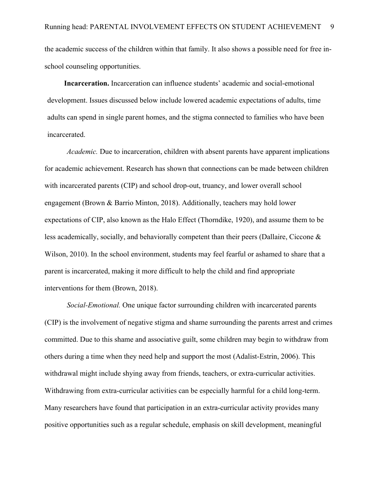the academic success of the children within that family. It also shows a possible need for free inschool counseling opportunities.

**Incarceration.** Incarceration can influence students' academic and social-emotional development. Issues discussed below include lowered academic expectations of adults, time adults can spend in single parent homes, and the stigma connected to families who have been incarcerated.

*Academic.* Due to incarceration, children with absent parents have apparent implications for academic achievement. Research has shown that connections can be made between children with incarcerated parents (CIP) and school drop-out, truancy, and lower overall school engagement (Brown & Barrio Minton, 2018). Additionally, teachers may hold lower expectations of CIP, also known as the Halo Effect (Thorndike, 1920), and assume them to be less academically, socially, and behaviorally competent than their peers (Dallaire, Ciccone & Wilson, 2010). In the school environment, students may feel fearful or ashamed to share that a parent is incarcerated, making it more difficult to help the child and find appropriate interventions for them (Brown, 2018).

*Social-Emotional.* One unique factor surrounding children with incarcerated parents (CIP) is the involvement of negative stigma and shame surrounding the parents arrest and crimes committed. Due to this shame and associative guilt, some children may begin to withdraw from others during a time when they need help and support the most (Adalist-Estrin, 2006). This withdrawal might include shying away from friends, teachers, or extra-curricular activities. Withdrawing from extra-curricular activities can be especially harmful for a child long-term. Many researchers have found that participation in an extra-curricular activity provides many positive opportunities such as a regular schedule, emphasis on skill development, meaningful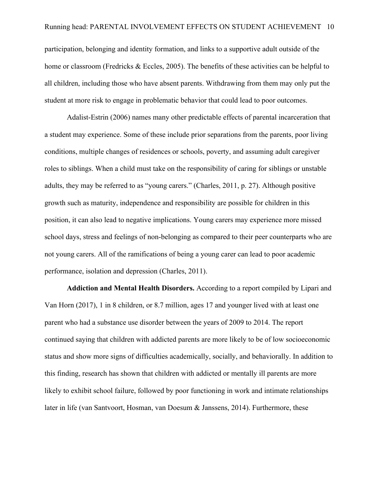participation, belonging and identity formation, and links to a supportive adult outside of the home or classroom (Fredricks & Eccles, 2005). The benefits of these activities can be helpful to all children, including those who have absent parents. Withdrawing from them may only put the student at more risk to engage in problematic behavior that could lead to poor outcomes.

Adalist-Estrin (2006) names many other predictable effects of parental incarceration that a student may experience. Some of these include prior separations from the parents, poor living conditions, multiple changes of residences or schools, poverty, and assuming adult caregiver roles to siblings. When a child must take on the responsibility of caring for siblings or unstable adults, they may be referred to as "young carers." (Charles, 2011, p. 27). Although positive growth such as maturity, independence and responsibility are possible for children in this position, it can also lead to negative implications. Young carers may experience more missed school days, stress and feelings of non-belonging as compared to their peer counterparts who are not young carers. All of the ramifications of being a young carer can lead to poor academic performance, isolation and depression (Charles, 2011).

**Addiction and Mental Health Disorders.** According to a report compiled by Lipari and Van Horn (2017), 1 in 8 children, or 8.7 million, ages 17 and younger lived with at least one parent who had a substance use disorder between the years of 2009 to 2014. The report continued saying that children with addicted parents are more likely to be of low socioeconomic status and show more signs of difficulties academically, socially, and behaviorally. In addition to this finding, research has shown that children with addicted or mentally ill parents are more likely to exhibit school failure, followed by poor functioning in work and intimate relationships later in life (van Santvoort, Hosman, van Doesum & Janssens, 2014). Furthermore, these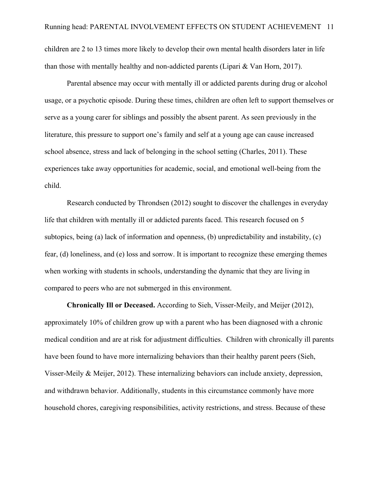children are 2 to 13 times more likely to develop their own mental health disorders later in life than those with mentally healthy and non-addicted parents (Lipari & Van Horn, 2017).

Parental absence may occur with mentally ill or addicted parents during drug or alcohol usage, or a psychotic episode. During these times, children are often left to support themselves or serve as a young carer for siblings and possibly the absent parent. As seen previously in the literature, this pressure to support one's family and self at a young age can cause increased school absence, stress and lack of belonging in the school setting (Charles, 2011). These experiences take away opportunities for academic, social, and emotional well-being from the child.

Research conducted by Throndsen (2012) sought to discover the challenges in everyday life that children with mentally ill or addicted parents faced. This research focused on 5 subtopics, being (a) lack of information and openness, (b) unpredictability and instability, (c) fear, (d) loneliness, and (e) loss and sorrow. It is important to recognize these emerging themes when working with students in schools, understanding the dynamic that they are living in compared to peers who are not submerged in this environment.

**Chronically Ill or Deceased.** According to Sieh, Visser-Meily, and Meijer (2012), approximately 10% of children grow up with a parent who has been diagnosed with a chronic medical condition and are at risk for adjustment difficulties. Children with chronically ill parents have been found to have more internalizing behaviors than their healthy parent peers (Sieh, Visser-Meily & Meijer, 2012). These internalizing behaviors can include anxiety, depression, and withdrawn behavior. Additionally, students in this circumstance commonly have more household chores, caregiving responsibilities, activity restrictions, and stress. Because of these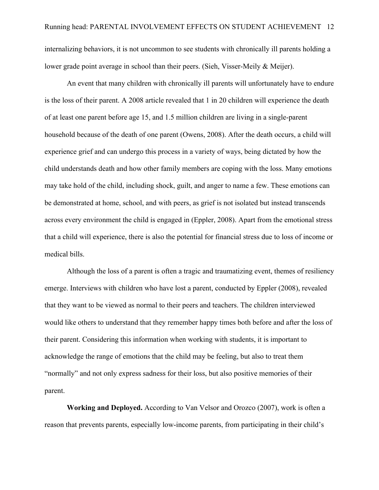internalizing behaviors, it is not uncommon to see students with chronically ill parents holding a lower grade point average in school than their peers. (Sieh, Visser-Meily & Meijer).

An event that many children with chronically ill parents will unfortunately have to endure is the loss of their parent. A 2008 article revealed that 1 in 20 children will experience the death of at least one parent before age 15, and 1.5 million children are living in a single-parent household because of the death of one parent (Owens, 2008). After the death occurs, a child will experience grief and can undergo this process in a variety of ways, being dictated by how the child understands death and how other family members are coping with the loss. Many emotions may take hold of the child, including shock, guilt, and anger to name a few. These emotions can be demonstrated at home, school, and with peers, as grief is not isolated but instead transcends across every environment the child is engaged in (Eppler, 2008). Apart from the emotional stress that a child will experience, there is also the potential for financial stress due to loss of income or medical bills.

Although the loss of a parent is often a tragic and traumatizing event, themes of resiliency emerge. Interviews with children who have lost a parent, conducted by Eppler (2008), revealed that they want to be viewed as normal to their peers and teachers. The children interviewed would like others to understand that they remember happy times both before and after the loss of their parent. Considering this information when working with students, it is important to acknowledge the range of emotions that the child may be feeling, but also to treat them "normally" and not only express sadness for their loss, but also positive memories of their parent.

**Working and Deployed.** According to Van Velsor and Orozco (2007), work is often a reason that prevents parents, especially low-income parents, from participating in their child's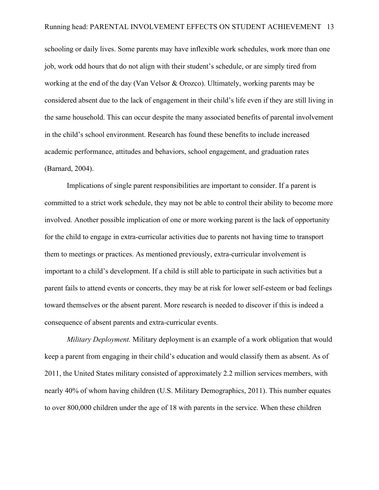schooling or daily lives. Some parents may have inflexible work schedules, work more than one job, work odd hours that do not align with their student's schedule, or are simply tired from working at the end of the day (Van Velsor & Orozco). Ultimately, working parents may be considered absent due to the lack of engagement in their child's life even if they are still living in the same household. This can occur despite the many associated benefits of parental involvement in the child's school environment. Research has found these benefits to include increased academic performance, attitudes and behaviors, school engagement, and graduation rates (Barnard, 2004).

Implications of single parent responsibilities are important to consider. If a parent is committed to a strict work schedule, they may not be able to control their ability to become more involved. Another possible implication of one or more working parent is the lack of opportunity for the child to engage in extra-curricular activities due to parents not having time to transport them to meetings or practices. As mentioned previously, extra-curricular involvement is important to a child's development. If a child is still able to participate in such activities but a parent fails to attend events or concerts, they may be at risk for lower self-esteem or bad feelings toward themselves or the absent parent. More research is needed to discover if this is indeed a consequence of absent parents and extra-curricular events.

*Military Deployment.* Military deployment is an example of a work obligation that would keep a parent from engaging in their child's education and would classify them as absent. As of 2011, the United States military consisted of approximately 2.2 million services members, with nearly 40% of whom having children (U.S. Military Demographics, 2011). This number equates to over 800,000 children under the age of 18 with parents in the service. When these children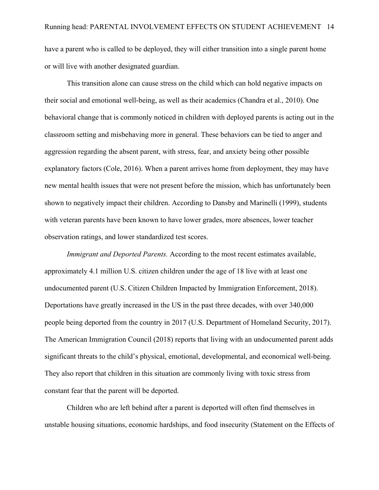have a parent who is called to be deployed, they will either transition into a single parent home or will live with another designated guardian.

This transition alone can cause stress on the child which can hold negative impacts on their social and emotional well-being, as well as their academics (Chandra et al., 2010). One behavioral change that is commonly noticed in children with deployed parents is acting out in the classroom setting and misbehaving more in general. These behaviors can be tied to anger and aggression regarding the absent parent, with stress, fear, and anxiety being other possible explanatory factors (Cole, 2016). When a parent arrives home from deployment, they may have new mental health issues that were not present before the mission, which has unfortunately been shown to negatively impact their children. According to Dansby and Marinelli (1999), students with veteran parents have been known to have lower grades, more absences, lower teacher observation ratings, and lower standardized test scores.

*Immigrant and Deported Parents.* According to the most recent estimates available, approximately 4.1 million U.S. citizen children under the age of 18 live with at least one undocumented parent (U.S. Citizen Children Impacted by Immigration Enforcement, 2018). Deportations have greatly increased in the US in the past three decades, with over 340,000 people being deported from the country in 2017 (U.S. Department of Homeland Security, 2017). The American Immigration Council (2018) reports that living with an undocumented parent adds significant threats to the child's physical, emotional, developmental, and economical well-being. They also report that children in this situation are commonly living with toxic stress from constant fear that the parent will be deported.

Children who are left behind after a parent is deported will often find themselves in unstable housing situations, economic hardships, and food insecurity (Statement on the Effects of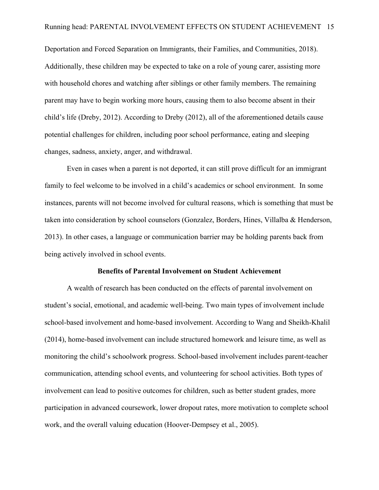Deportation and Forced Separation on Immigrants, their Families, and Communities, 2018). Additionally, these children may be expected to take on a role of young carer, assisting more with household chores and watching after siblings or other family members. The remaining parent may have to begin working more hours, causing them to also become absent in their child's life (Dreby, 2012). According to Dreby (2012), all of the aforementioned details cause potential challenges for children, including poor school performance, eating and sleeping changes, sadness, anxiety, anger, and withdrawal.

Even in cases when a parent is not deported, it can still prove difficult for an immigrant family to feel welcome to be involved in a child's academics or school environment. In some instances, parents will not become involved for cultural reasons, which is something that must be taken into consideration by school counselors (Gonzalez, Borders, Hines, Villalba & Henderson, 2013). In other cases, a language or communication barrier may be holding parents back from being actively involved in school events.

#### **Benefits of Parental Involvement on Student Achievement**

A wealth of research has been conducted on the effects of parental involvement on student's social, emotional, and academic well-being. Two main types of involvement include school-based involvement and home-based involvement. According to Wang and Sheikh-Khalil (2014), home-based involvement can include structured homework and leisure time, as well as monitoring the child's schoolwork progress. School-based involvement includes parent-teacher communication, attending school events, and volunteering for school activities. Both types of involvement can lead to positive outcomes for children, such as better student grades, more participation in advanced coursework, lower dropout rates, more motivation to complete school work, and the overall valuing education (Hoover-Dempsey et al., 2005).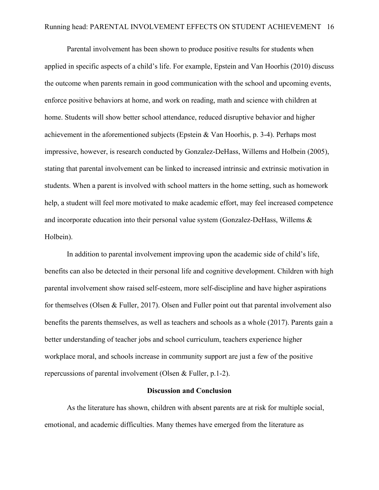Parental involvement has been shown to produce positive results for students when applied in specific aspects of a child's life. For example, Epstein and Van Hoorhis (2010) discuss the outcome when parents remain in good communication with the school and upcoming events, enforce positive behaviors at home, and work on reading, math and science with children at home. Students will show better school attendance, reduced disruptive behavior and higher achievement in the aforementioned subjects (Epstein & Van Hoorhis, p. 3-4). Perhaps most impressive, however, is research conducted by Gonzalez-DeHass, Willems and Holbein (2005), stating that parental involvement can be linked to increased intrinsic and extrinsic motivation in students. When a parent is involved with school matters in the home setting, such as homework help, a student will feel more motivated to make academic effort, may feel increased competence and incorporate education into their personal value system (Gonzalez-DeHass, Willems & Holbein).

In addition to parental involvement improving upon the academic side of child's life, benefits can also be detected in their personal life and cognitive development. Children with high parental involvement show raised self-esteem, more self-discipline and have higher aspirations for themselves (Olsen & Fuller, 2017). Olsen and Fuller point out that parental involvement also benefits the parents themselves, as well as teachers and schools as a whole (2017). Parents gain a better understanding of teacher jobs and school curriculum, teachers experience higher workplace moral, and schools increase in community support are just a few of the positive repercussions of parental involvement (Olsen & Fuller, p.1-2).

#### **Discussion and Conclusion**

As the literature has shown, children with absent parents are at risk for multiple social, emotional, and academic difficulties. Many themes have emerged from the literature as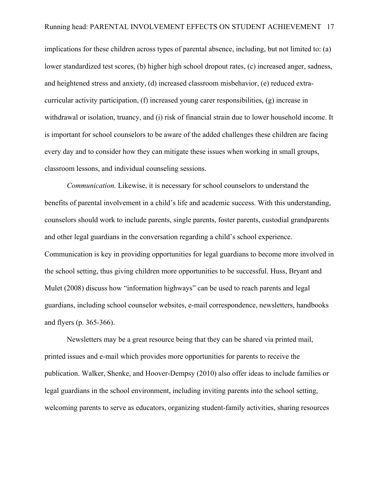implications for these children across types of parental absence, including, but not limited to: (a) lower standardized test scores, (b) higher high school dropout rates, (c) increased anger, sadness, and heightened stress and anxiety, (d) increased classroom misbehavior, (e) reduced extracurricular activity participation, (f) increased young carer responsibilities, (g) increase in withdrawal or isolation, truancy, and (i) risk of financial strain due to lower household income. It is important for school counselors to be aware of the added challenges these children are facing every day and to consider how they can mitigate these issues when working in small groups, classroom lessons, and individual counseling sessions.

*Communication.* Likewise, it is necessary for school counselors to understand the benefits of parental involvement in a child's life and academic success. With this understanding, counselors should work to include parents, single parents, foster parents, custodial grandparents and other legal guardians in the conversation regarding a child's school experience. Communication is key in providing opportunities for legal guardians to become more involved in the school setting, thus giving children more opportunities to be successful. Huss, Bryant and Mulet (2008) discuss how "information highways" can be used to reach parents and legal guardians, including school counselor websites, e-mail correspondence, newsletters, handbooks and flyers (p. 365-366).

Newsletters may be a great resource being that they can be shared via printed mail, printed issues and e-mail which provides more opportunities for parents to receive the publication. Walker, Shenke, and Hoover-Dempsy (2010) also offer ideas to include families or legal guardians in the school environment, including inviting parents into the school setting, welcoming parents to serve as educators, organizing student-family activities, sharing resources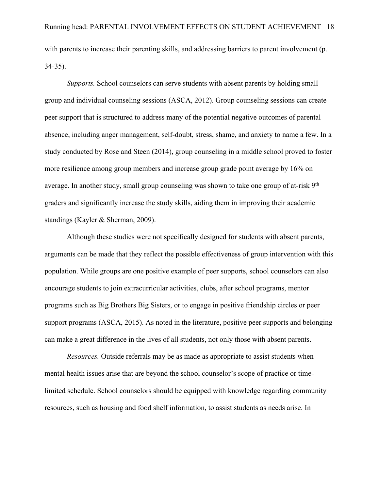with parents to increase their parenting skills, and addressing barriers to parent involvement (p. 34-35).

*Supports.* School counselors can serve students with absent parents by holding small group and individual counseling sessions (ASCA, 2012). Group counseling sessions can create peer support that is structured to address many of the potential negative outcomes of parental absence, including anger management, self-doubt, stress, shame, and anxiety to name a few. In a study conducted by Rose and Steen (2014), group counseling in a middle school proved to foster more resilience among group members and increase group grade point average by 16% on average. In another study, small group counseling was shown to take one group of at-risk 9<sup>th</sup> graders and significantly increase the study skills, aiding them in improving their academic standings (Kayler & Sherman, 2009).

Although these studies were not specifically designed for students with absent parents, arguments can be made that they reflect the possible effectiveness of group intervention with this population. While groups are one positive example of peer supports, school counselors can also encourage students to join extracurricular activities, clubs, after school programs, mentor programs such as Big Brothers Big Sisters, or to engage in positive friendship circles or peer support programs (ASCA, 2015). As noted in the literature, positive peer supports and belonging can make a great difference in the lives of all students, not only those with absent parents.

*Resources.* Outside referrals may be as made as appropriate to assist students when mental health issues arise that are beyond the school counselor's scope of practice or timelimited schedule. School counselors should be equipped with knowledge regarding community resources, such as housing and food shelf information, to assist students as needs arise. In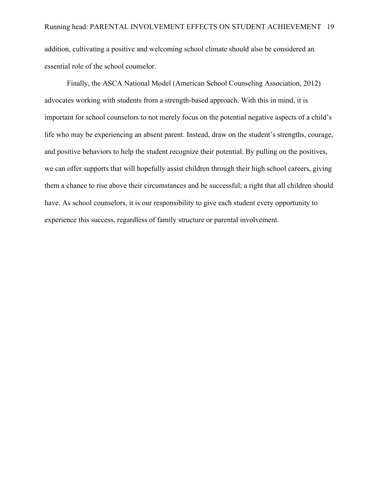addition, cultivating a positive and welcoming school climate should also be considered an essential role of the school counselor.

Finally, the ASCA National Model (American School Counseling Association, 2012) advocates working with students from a strength-based approach. With this in mind, it is important for school counselors to not merely focus on the potential negative aspects of a child's life who may be experiencing an absent parent. Instead, draw on the student's strengths, courage, and positive behaviors to help the student recognize their potential. By pulling on the positives, we can offer supports that will hopefully assist children through their high school careers, giving them a chance to rise above their circumstances and be successful; a right that all children should have. As school counselors, it is our responsibility to give each student every opportunity to experience this success, regardless of family structure or parental involvement.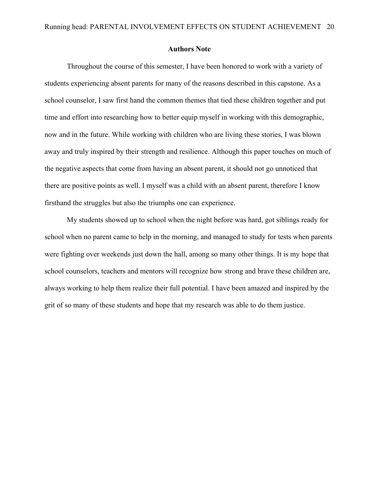#### **Authors Note**

Throughout the course of this semester, I have been honored to work with a variety of students experiencing absent parents for many of the reasons described in this capstone. As a school counselor, I saw first hand the common themes that tied these children together and put time and effort into researching how to better equip myself in working with this demographic, now and in the future. While working with children who are living these stories, I was blown away and truly inspired by their strength and resilience. Although this paper touches on much of the negative aspects that come from having an absent parent, it should not go unnoticed that there are positive points as well. I myself was a child with an absent parent, therefore I know firsthand the struggles but also the triumphs one can experience.

My students showed up to school when the night before was hard, got siblings ready for school when no parent came to help in the morning, and managed to study for tests when parents were fighting over weekends just down the hall, among so many other things. It is my hope that school counselors, teachers and mentors will recognize how strong and brave these children are, always working to help them realize their full potential. I have been amazed and inspired by the grit of so many of these students and hope that my research was able to do them justice.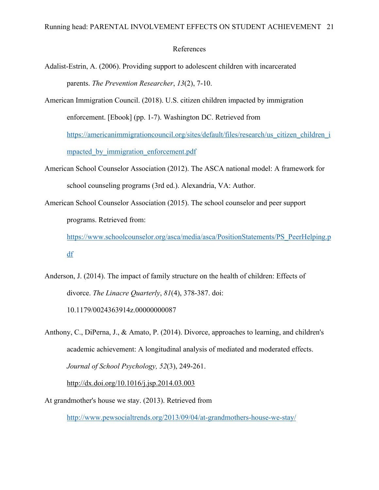#### References

- Adalist-Estrin, A. (2006). Providing support to adolescent children with incarcerated parents. *The Prevention Researcher*, *13*(2), 7-10.
- American Immigration Council. (2018). U.S. citizen children impacted by immigration enforcement. [Ebook] (pp. 1-7). Washington DC. Retrieved from https://americanimmigrationcouncil.org/sites/default/files/research/us citizen children i mpacted by immigration enforcement.pdf
- American School Counselor Association (2012). The ASCA national model: A framework for school counseling programs (3rd ed.). Alexandria, VA: Author.
- American School Counselor Association (2015). The school counselor and peer support programs. Retrieved from:

https://www.schoolcounselor.org/asca/media/asca/PositionStatements/PS\_PeerHelping.p df

- Anderson, J. (2014). The impact of family structure on the health of children: Effects of divorce. *The Linacre Quarterly*, *81*(4), 378-387. doi: 10.1179/0024363914z.00000000087
- Anthony, C., DiPerna, J., & Amato, P. (2014). Divorce, approaches to learning, and children's academic achievement: A longitudinal analysis of mediated and moderated effects. *Journal of School Psychology, 52*(3), 249-261. http://dx.doi.org/10.1016/j.jsp.2014.03.003
- At grandmother's house we stay. (2013). Retrieved from

http://www.pewsocialtrends.org/2013/09/04/at-grandmothers-house-we-stay/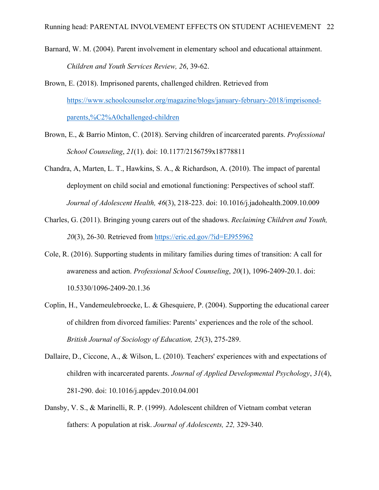- Barnard, W. M. (2004). Parent involvement in elementary school and educational attainment. *Children and Youth Services Review, 26*, 39-62.
- Brown, E. (2018). Imprisoned parents, challenged children. Retrieved from https://www.schoolcounselor.org/magazine/blogs/january-february-2018/imprisonedparents,%C2%A0challenged-children
- Brown, E., & Barrio Minton, C. (2018). Serving children of incarcerated parents. *Professional School Counseling*, *21*(1). doi: 10.1177/2156759x18778811
- Chandra, A, Marten, L. T., Hawkins, S. A., & Richardson, A. (2010). The impact of parental deployment on child social and emotional functioning: Perspectives of school staff. *Journal of Adolescent Health, 46*(3), 218-223. doi: 10.1016/j.jadohealth.2009.10.009
- Charles, G. (2011). Bringing young carers out of the shadows. *Reclaiming Children and Youth, 20*(3), 26-30. Retrieved from https://eric.ed.gov/?id=EJ955962
- Cole, R. (2016). Supporting students in military families during times of transition: A call for awareness and action. *Professional School Counseling*, *20*(1), 1096-2409-20.1. doi: 10.5330/1096-2409-20.1.36
- Coplin, H., Vandemeulebroecke, L. & Ghesquiere, P. (2004). Supporting the educational career of children from divorced families: Parents' experiences and the role of the school. *British Journal of Sociology of Education, 25*(3), 275-289.
- Dallaire, D., Ciccone, A., & Wilson, L. (2010). Teachers' experiences with and expectations of children with incarcerated parents. *Journal of Applied Developmental Psychology*, *31*(4), 281-290. doi: 10.1016/j.appdev.2010.04.001
- Dansby, V. S., & Marinelli, R. P. (1999). Adolescent children of Vietnam combat veteran fathers: A population at risk. *Journal of Adolescents, 22,* 329-340.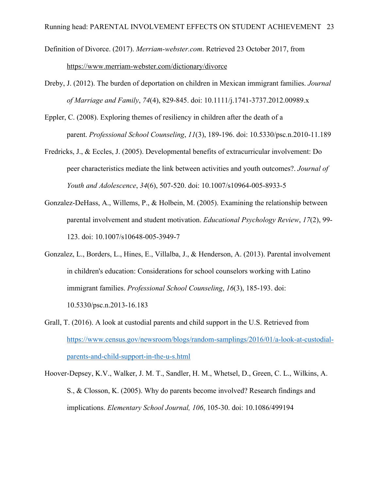- Definition of Divorce. (2017). *Merriam-webster.com*. Retrieved 23 October 2017, from https://www.merriam-webster.com/dictionary/divorce
- Dreby, J. (2012). The burden of deportation on children in Mexican immigrant families. *Journal of Marriage and Family*, *74*(4), 829-845. doi: 10.1111/j.1741-3737.2012.00989.x
- Eppler, C. (2008). Exploring themes of resiliency in children after the death of a parent. *Professional School Counseling*, *11*(3), 189-196. doi: 10.5330/psc.n.2010-11.189
- Fredricks, J., & Eccles, J. (2005). Developmental benefits of extracurricular involvement: Do peer characteristics mediate the link between activities and youth outcomes?. *Journal of Youth and Adolescence*, *34*(6), 507-520. doi: 10.1007/s10964-005-8933-5
- Gonzalez-DeHass, A., Willems, P., & Holbein, M. (2005). Examining the relationship between parental involvement and student motivation. *Educational Psychology Review*, *17*(2), 99- 123. doi: 10.1007/s10648-005-3949-7
- Gonzalez, L., Borders, L., Hines, E., Villalba, J., & Henderson, A. (2013). Parental involvement in children's education: Considerations for school counselors working with Latino immigrant families. *Professional School Counseling*, *16*(3), 185-193. doi: 10.5330/psc.n.2013-16.183
- Grall, T. (2016). A look at custodial parents and child support in the U.S. Retrieved from https://www.census.gov/newsroom/blogs/random-samplings/2016/01/a-look-at-custodialparents-and-child-support-in-the-u-s.html

Hoover-Depsey, K.V., Walker, J. M. T., Sandler, H. M., Whetsel, D., Green, C. L., Wilkins, A. S., & Closson, K. (2005). Why do parents become involved? Research findings and implications. *Elementary School Journal, 106*, 105-30. doi: 10.1086/499194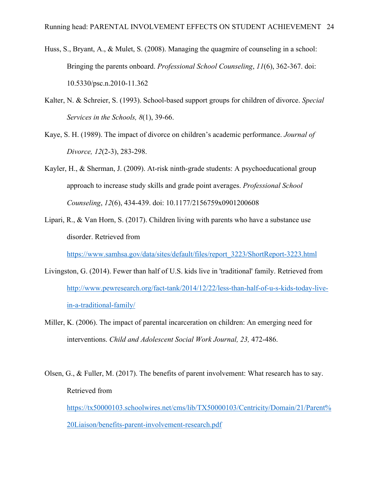- Huss, S., Bryant, A., & Mulet, S. (2008). Managing the quagmire of counseling in a school: Bringing the parents onboard. *Professional School Counseling*, *11*(6), 362-367. doi: 10.5330/psc.n.2010-11.362
- Kalter, N. & Schreier, S. (1993). School-based support groups for children of divorce. *Special Services in the Schools, 8*(1), 39-66.
- Kaye, S. H. (1989). The impact of divorce on children's academic performance. *Journal of Divorce, 12*(2-3), 283-298.
- Kayler, H., & Sherman, J. (2009). At-risk ninth-grade students: A psychoeducational group approach to increase study skills and grade point averages. *Professional School Counseling*, *12*(6), 434-439. doi: 10.1177/2156759x0901200608
- Lipari, R., & Van Horn, S. (2017). Children living with parents who have a substance use disorder. Retrieved from

https://www.samhsa.gov/data/sites/default/files/report\_3223/ShortReport-3223.html

- Livingston, G. (2014). Fewer than half of U.S. kids live in 'traditional' family. Retrieved from http://www.pewresearch.org/fact-tank/2014/12/22/less-than-half-of-u-s-kids-today-livein-a-traditional-family/
- Miller, K. (2006). The impact of parental incarceration on children: An emerging need for interventions. *Child and Adolescent Social Work Journal, 23,* 472-486.
- Olsen, G., & Fuller, M. (2017). The benefits of parent involvement: What research has to say. Retrieved from https://tx50000103.schoolwires.net/cms/lib/TX50000103/Centricity/Domain/21/Parent% 20Liaison/benefits-parent-involvement-research.pdf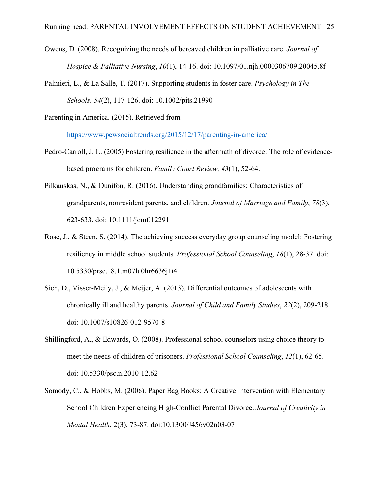- Owens, D. (2008). Recognizing the needs of bereaved children in palliative care. *Journal of Hospice & Palliative Nursing*, *10*(1), 14-16. doi: 10.1097/01.njh.0000306709.20045.8f
- Palmieri, L., & La Salle, T. (2017). Supporting students in foster care. *Psychology in The Schools*, *54*(2), 117-126. doi: 10.1002/pits.21990

Parenting in America. (2015). Retrieved from

https://www.pewsocialtrends.org/2015/12/17/parenting-in-america/

- Pedro-Carroll, J. L. (2005) Fostering resilience in the aftermath of divorce: The role of evidencebased programs for children. *Family Court Review, 43*(1), 52-64.
- Pilkauskas, N., & Dunifon, R. (2016). Understanding grandfamilies: Characteristics of grandparents, nonresident parents, and children. *Journal of Marriage and Family*, *78*(3), 623-633. doi: 10.1111/jomf.12291
- Rose, J., & Steen, S. (2014). The achieving success everyday group counseling model: Fostering resiliency in middle school students. *Professional School Counseling*, *18*(1), 28-37. doi: 10.5330/prsc.18.1.m07lu0hr6636j1t4
- Sieh, D., Visser-Meily, J., & Meijer, A. (2013). Differential outcomes of adolescents with chronically ill and healthy parents. *Journal of Child and Family Studies*, *22*(2), 209-218. doi: 10.1007/s10826-012-9570-8
- Shillingford, A., & Edwards, O. (2008). Professional school counselors using choice theory to meet the needs of children of prisoners. *Professional School Counseling*, *12*(1), 62-65. doi: 10.5330/psc.n.2010-12.62
- Somody, C., & Hobbs, M. (2006). Paper Bag Books: A Creative Intervention with Elementary School Children Experiencing High-Conflict Parental Divorce. *Journal of Creativity in Mental Health*, 2(3), 73-87. doi:10.1300/J456v02n03-07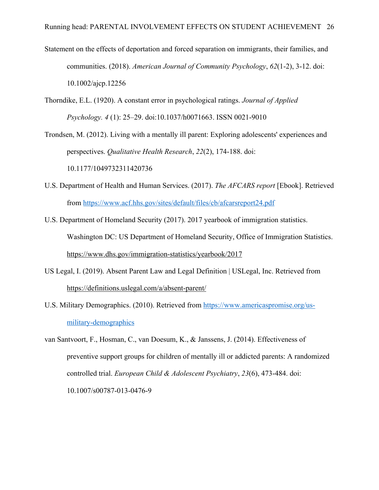- Statement on the effects of deportation and forced separation on immigrants, their families, and communities. (2018). *American Journal of Community Psychology*, *62*(1-2), 3-12. doi: 10.1002/ajcp.12256
- Thorndike, E.L. (1920). A constant error in psychological ratings. *Journal of Applied Psychology. 4* (1): 25–29. doi:10.1037/h0071663. ISSN 0021-9010

Trondsen, M. (2012). Living with a mentally ill parent: Exploring adolescents' experiences and perspectives. *Qualitative Health Research*, *22*(2), 174-188. doi: 10.1177/1049732311420736

- U.S. Department of Health and Human Services. (2017). *The AFCARS report* [Ebook]. Retrieved from https://www.acf.hhs.gov/sites/default/files/cb/afcarsreport24.pdf
- U.S. Department of Homeland Security (2017). 2017 yearbook of immigration statistics. Washington DC: US Department of Homeland Security, Office of Immigration Statistics. https://www.dhs.gov/immigration-statistics/yearbook/2017
- US Legal, I. (2019). Absent Parent Law and Legal Definition | USLegal, Inc. Retrieved from https://definitions.uslegal.com/a/absent-parent/
- U.S. Military Demographics. (2010). Retrieved from https://www.americaspromise.org/usmilitary-demographics
- van Santvoort, F., Hosman, C., van Doesum, K., & Janssens, J. (2014). Effectiveness of preventive support groups for children of mentally ill or addicted parents: A randomized controlled trial. *European Child & Adolescent Psychiatry*, *23*(6), 473-484. doi: 10.1007/s00787-013-0476-9